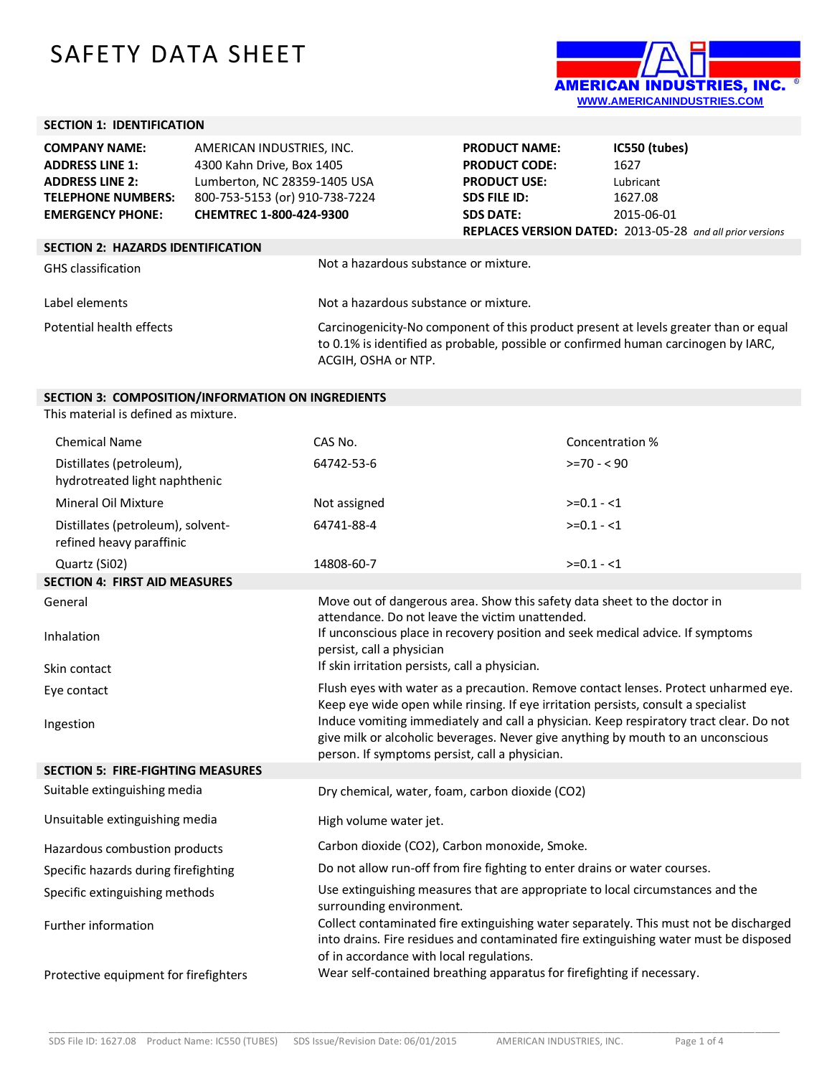## SAFETY DATA SHEET



## **SECTION 1: IDENTIFICATION**

| <b>COMPANY NAME:</b>                     | AMERICAN INDUSTRIES, INC.      |                                       | <b>PRODUCT NAME:</b> | IC550 (tubes)                                                                                                                                                              |
|------------------------------------------|--------------------------------|---------------------------------------|----------------------|----------------------------------------------------------------------------------------------------------------------------------------------------------------------------|
| <b>ADDRESS LINE 1:</b>                   | 4300 Kahn Drive, Box 1405      |                                       | <b>PRODUCT CODE:</b> | 1627                                                                                                                                                                       |
| <b>ADDRESS LINE 2:</b>                   | Lumberton, NC 28359-1405 USA   |                                       | <b>PRODUCT USE:</b>  | Lubricant                                                                                                                                                                  |
| <b>TELEPHONE NUMBERS:</b>                | 800-753-5153 (or) 910-738-7224 |                                       | <b>SDS FILE ID:</b>  | 1627.08                                                                                                                                                                    |
| <b>EMERGENCY PHONE:</b>                  | <b>CHEMTREC 1-800-424-9300</b> |                                       | <b>SDS DATE:</b>     | 2015-06-01                                                                                                                                                                 |
|                                          |                                |                                       |                      | <b>REPLACES VERSION DATED:</b> 2013-05-28 and all prior versions                                                                                                           |
| <b>SECTION 2: HAZARDS IDENTIFICATION</b> |                                |                                       |                      |                                                                                                                                                                            |
| <b>GHS</b> classification                |                                | Not a hazardous substance or mixture. |                      |                                                                                                                                                                            |
| Label elements                           |                                | Not a hazardous substance or mixture. |                      |                                                                                                                                                                            |
| Potential health effects                 |                                | ACGIH, OSHA or NTP.                   |                      | Carcinogenicity-No component of this product present at levels greater than or equal<br>to 0.1% is identified as probable, possible or confirmed human carcinogen by IARC, |

## **SECTION 3: COMPOSITION/INFORMATION ON INGREDIENTS**

This material is defined as mixture.

| <b>Chemical Name</b>                                          | CAS No.                                                                                                                                                                                                                      | Concentration % |  |
|---------------------------------------------------------------|------------------------------------------------------------------------------------------------------------------------------------------------------------------------------------------------------------------------------|-----------------|--|
| Distillates (petroleum),<br>hydrotreated light naphthenic     | 64742-53-6                                                                                                                                                                                                                   | $>=70 - 90$     |  |
| Mineral Oil Mixture                                           | Not assigned                                                                                                                                                                                                                 | $>=0.1 - 1$     |  |
| Distillates (petroleum), solvent-<br>refined heavy paraffinic | 64741-88-4                                                                                                                                                                                                                   | $>=0.1 - 1$     |  |
| Quartz (Si02)                                                 | 14808-60-7                                                                                                                                                                                                                   | $>=0.1 - 1$     |  |
| <b>SECTION 4: FIRST AID MEASURES</b>                          |                                                                                                                                                                                                                              |                 |  |
| General                                                       | Move out of dangerous area. Show this safety data sheet to the doctor in<br>attendance. Do not leave the victim unattended.                                                                                                  |                 |  |
| Inhalation                                                    | If unconscious place in recovery position and seek medical advice. If symptoms<br>persist, call a physician                                                                                                                  |                 |  |
| Skin contact                                                  | If skin irritation persists, call a physician.                                                                                                                                                                               |                 |  |
| Eye contact                                                   | Flush eyes with water as a precaution. Remove contact lenses. Protect unharmed eye.<br>Keep eye wide open while rinsing. If eye irritation persists, consult a specialist                                                    |                 |  |
| Ingestion                                                     | Induce vomiting immediately and call a physician. Keep respiratory tract clear. Do not<br>give milk or alcoholic beverages. Never give anything by mouth to an unconscious<br>person. If symptoms persist, call a physician. |                 |  |
| <b>SECTION 5: FIRE-FIGHTING MEASURES</b>                      |                                                                                                                                                                                                                              |                 |  |
| Suitable extinguishing media                                  | Dry chemical, water, foam, carbon dioxide (CO2)                                                                                                                                                                              |                 |  |
| Unsuitable extinguishing media                                | High volume water jet.                                                                                                                                                                                                       |                 |  |
| Hazardous combustion products                                 | Carbon dioxide (CO2), Carbon monoxide, Smoke.                                                                                                                                                                                |                 |  |
| Specific hazards during firefighting                          | Do not allow run-off from fire fighting to enter drains or water courses.                                                                                                                                                    |                 |  |
| Specific extinguishing methods                                | Use extinguishing measures that are appropriate to local circumstances and the<br>surrounding environment.                                                                                                                   |                 |  |
| Further information                                           | Collect contaminated fire extinguishing water separately. This must not be discharged<br>into drains. Fire residues and contaminated fire extinguishing water must be disposed<br>of in accordance with local regulations.   |                 |  |
| Protective equipment for firefighters                         | Wear self-contained breathing apparatus for firefighting if necessary.                                                                                                                                                       |                 |  |

\_\_\_\_\_\_\_\_\_\_\_\_\_\_\_\_\_\_\_\_\_\_\_\_\_\_\_\_\_\_\_\_\_\_\_\_\_\_\_\_\_\_\_\_\_\_\_\_\_\_\_\_\_\_\_\_\_\_\_\_\_\_\_\_\_\_\_\_\_\_\_\_\_\_\_\_\_\_\_\_\_\_\_\_\_\_\_\_\_\_\_\_\_\_\_\_\_\_\_\_\_\_\_\_\_\_\_\_\_\_\_\_\_\_\_\_\_\_\_\_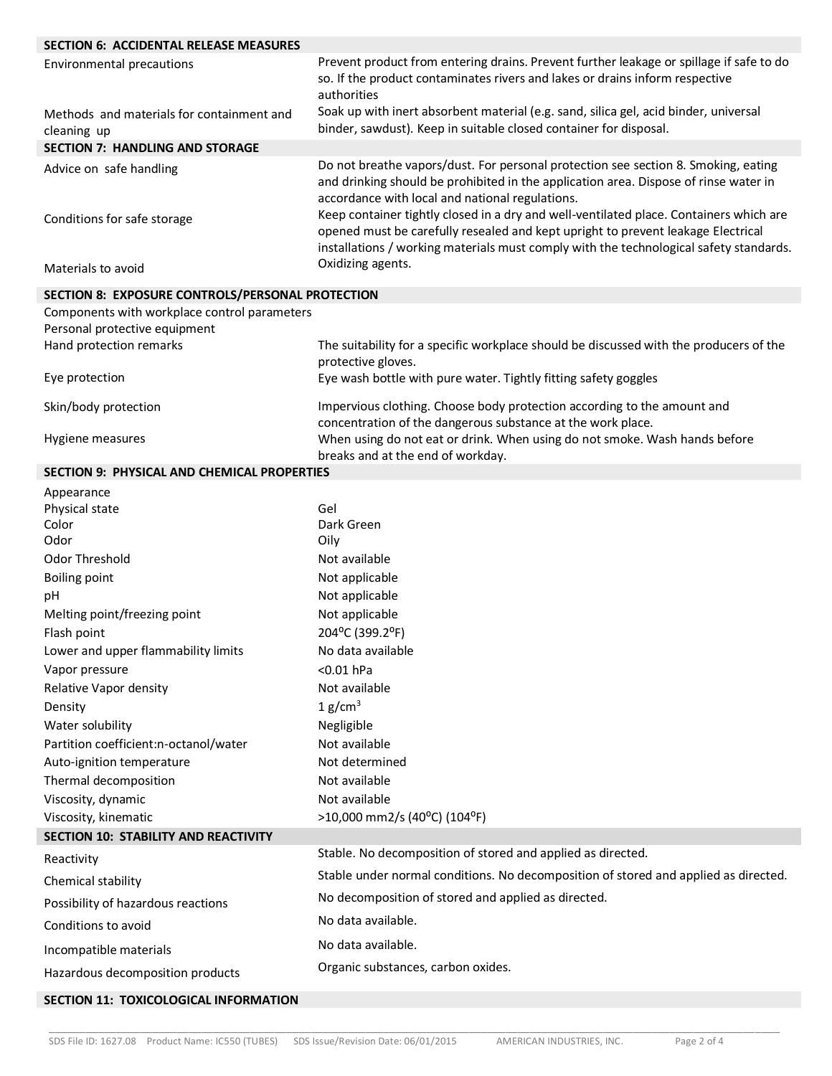| <b>SECTION 6: ACCIDENTAL RELEASE MEASURES</b>            |                                                                                                                                                                                                                                                                                                                                                                                                             |
|----------------------------------------------------------|-------------------------------------------------------------------------------------------------------------------------------------------------------------------------------------------------------------------------------------------------------------------------------------------------------------------------------------------------------------------------------------------------------------|
| <b>Environmental precautions</b>                         | Prevent product from entering drains. Prevent further leakage or spillage if safe to do<br>so. If the product contaminates rivers and lakes or drains inform respective<br>authorities                                                                                                                                                                                                                      |
| Methods and materials for containment and<br>cleaning up | Soak up with inert absorbent material (e.g. sand, silica gel, acid binder, universal<br>binder, sawdust). Keep in suitable closed container for disposal.                                                                                                                                                                                                                                                   |
| <b>SECTION 7: HANDLING AND STORAGE</b>                   |                                                                                                                                                                                                                                                                                                                                                                                                             |
| Advice on safe handling<br>Conditions for safe storage   | Do not breathe vapors/dust. For personal protection see section 8. Smoking, eating<br>and drinking should be prohibited in the application area. Dispose of rinse water in<br>accordance with local and national regulations.<br>Keep container tightly closed in a dry and well-ventilated place. Containers which are<br>opened must be carefully resealed and kept upright to prevent leakage Electrical |
| Materials to avoid                                       | installations / working materials must comply with the technological safety standards.<br>Oxidizing agents.                                                                                                                                                                                                                                                                                                 |
| SECTION 8: EXPOSURE CONTROLS/PERSONAL PROTECTION         |                                                                                                                                                                                                                                                                                                                                                                                                             |
| Components with workplace control parameters             |                                                                                                                                                                                                                                                                                                                                                                                                             |
| Personal protective equipment                            |                                                                                                                                                                                                                                                                                                                                                                                                             |
| Hand protection remarks                                  | The suitability for a specific workplace should be discussed with the producers of the                                                                                                                                                                                                                                                                                                                      |
| Eye protection                                           | protective gloves.<br>Eye wash bottle with pure water. Tightly fitting safety goggles                                                                                                                                                                                                                                                                                                                       |
| Skin/body protection                                     | Impervious clothing. Choose body protection according to the amount and                                                                                                                                                                                                                                                                                                                                     |
| Hygiene measures                                         | concentration of the dangerous substance at the work place.<br>When using do not eat or drink. When using do not smoke. Wash hands before<br>breaks and at the end of workday.                                                                                                                                                                                                                              |
| <b>SECTION 9: PHYSICAL AND CHEMICAL PROPERTIES</b>       |                                                                                                                                                                                                                                                                                                                                                                                                             |
| Appearance                                               |                                                                                                                                                                                                                                                                                                                                                                                                             |
| Physical state                                           | Gel                                                                                                                                                                                                                                                                                                                                                                                                         |
| Color                                                    | Dark Green                                                                                                                                                                                                                                                                                                                                                                                                  |
| Odor                                                     | Oily                                                                                                                                                                                                                                                                                                                                                                                                        |
| Odor Threshold                                           | Not available                                                                                                                                                                                                                                                                                                                                                                                               |
| <b>Boiling point</b><br>pH                               | Not applicable                                                                                                                                                                                                                                                                                                                                                                                              |
| Melting point/freezing point                             | Not applicable<br>Not applicable                                                                                                                                                                                                                                                                                                                                                                            |
| Flash point                                              | 204°C (399.2°F)                                                                                                                                                                                                                                                                                                                                                                                             |
| Lower and upper flammability limits                      | No data available                                                                                                                                                                                                                                                                                                                                                                                           |
| Vapor pressure                                           | $<0.01$ hPa                                                                                                                                                                                                                                                                                                                                                                                                 |
| Relative Vapor density                                   | Not available                                                                                                                                                                                                                                                                                                                                                                                               |
| Density                                                  | 1 g/cm <sup>3</sup>                                                                                                                                                                                                                                                                                                                                                                                         |
| Water solubility                                         | Negligible                                                                                                                                                                                                                                                                                                                                                                                                  |
| Partition coefficient:n-octanol/water                    | Not available                                                                                                                                                                                                                                                                                                                                                                                               |
| Auto-ignition temperature                                | Not determined                                                                                                                                                                                                                                                                                                                                                                                              |
| Thermal decomposition                                    | Not available                                                                                                                                                                                                                                                                                                                                                                                               |
| Viscosity, dynamic                                       | Not available                                                                                                                                                                                                                                                                                                                                                                                               |
| Viscosity, kinematic                                     | >10,000 mm2/s (40°C) (104°F)                                                                                                                                                                                                                                                                                                                                                                                |
| <b>SECTION 10: STABILITY AND REACTIVITY</b>              |                                                                                                                                                                                                                                                                                                                                                                                                             |
| Reactivity                                               | Stable. No decomposition of stored and applied as directed.                                                                                                                                                                                                                                                                                                                                                 |
| Chemical stability                                       | Stable under normal conditions. No decomposition of stored and applied as directed.                                                                                                                                                                                                                                                                                                                         |
| Possibility of hazardous reactions                       | No decomposition of stored and applied as directed.                                                                                                                                                                                                                                                                                                                                                         |
| Conditions to avoid                                      | No data available.                                                                                                                                                                                                                                                                                                                                                                                          |
| Incompatible materials                                   | No data available.                                                                                                                                                                                                                                                                                                                                                                                          |
| Hazardous decomposition products                         | Organic substances, carbon oxides.                                                                                                                                                                                                                                                                                                                                                                          |
| SECTION 11: TOXICOLOGICAL INFORMATION                    |                                                                                                                                                                                                                                                                                                                                                                                                             |

\_\_\_\_\_\_\_\_\_\_\_\_\_\_\_\_\_\_\_\_\_\_\_\_\_\_\_\_\_\_\_\_\_\_\_\_\_\_\_\_\_\_\_\_\_\_\_\_\_\_\_\_\_\_\_\_\_\_\_\_\_\_\_\_\_\_\_\_\_\_\_\_\_\_\_\_\_\_\_\_\_\_\_\_\_\_\_\_\_\_\_\_\_\_\_\_\_\_\_\_\_\_\_\_\_\_\_\_\_\_\_\_\_\_\_\_\_\_\_\_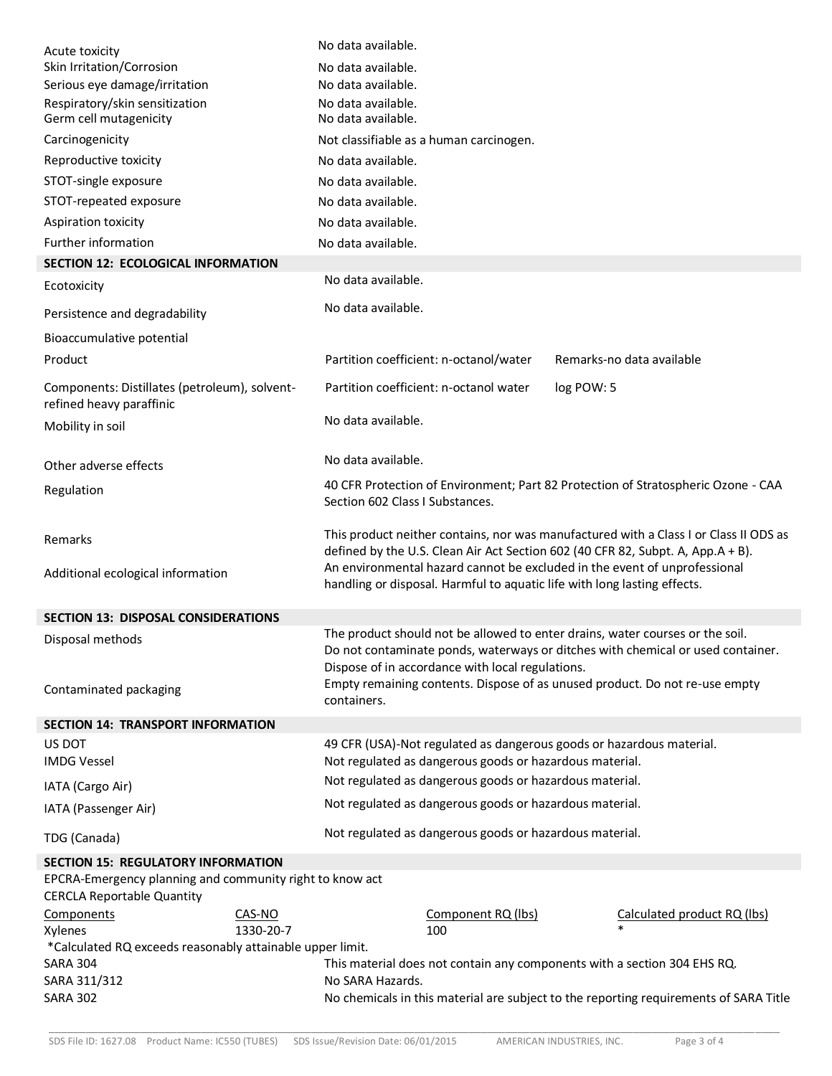| Acute toxicity<br>Skin Irritation/Corrosion<br>Serious eye damage/irritation<br>Respiratory/skin sensitization<br>Germ cell mutagenicity<br>Carcinogenicity<br>Reproductive toxicity<br>STOT-single exposure<br>STOT-repeated exposure<br>Aspiration toxicity<br>Further information<br><b>SECTION 12: ECOLOGICAL INFORMATION</b> |           | No data available.<br>No data available.<br>No data available.<br>No data available.<br>No data available.<br>No data available.<br>No data available.<br>No data available.<br>No data available.<br>No data available.                              | Not classifiable as a human carcinogen.                                                                            |            |                                                                                       |
|-----------------------------------------------------------------------------------------------------------------------------------------------------------------------------------------------------------------------------------------------------------------------------------------------------------------------------------|-----------|-------------------------------------------------------------------------------------------------------------------------------------------------------------------------------------------------------------------------------------------------------|--------------------------------------------------------------------------------------------------------------------|------------|---------------------------------------------------------------------------------------|
| Ecotoxicity                                                                                                                                                                                                                                                                                                                       |           | No data available.                                                                                                                                                                                                                                    |                                                                                                                    |            |                                                                                       |
| Persistence and degradability                                                                                                                                                                                                                                                                                                     |           | No data available.                                                                                                                                                                                                                                    |                                                                                                                    |            |                                                                                       |
| Bioaccumulative potential                                                                                                                                                                                                                                                                                                         |           |                                                                                                                                                                                                                                                       |                                                                                                                    |            |                                                                                       |
| Product                                                                                                                                                                                                                                                                                                                           |           |                                                                                                                                                                                                                                                       | Partition coefficient: n-octanol/water                                                                             |            | Remarks-no data available                                                             |
| Components: Distillates (petroleum), solvent-<br>refined heavy paraffinic                                                                                                                                                                                                                                                         |           |                                                                                                                                                                                                                                                       | Partition coefficient: n-octanol water                                                                             | log POW: 5 |                                                                                       |
| Mobility in soil                                                                                                                                                                                                                                                                                                                  |           | No data available.                                                                                                                                                                                                                                    |                                                                                                                    |            |                                                                                       |
| Other adverse effects                                                                                                                                                                                                                                                                                                             |           | No data available.                                                                                                                                                                                                                                    |                                                                                                                    |            |                                                                                       |
|                                                                                                                                                                                                                                                                                                                                   |           |                                                                                                                                                                                                                                                       |                                                                                                                    |            | 40 CFR Protection of Environment; Part 82 Protection of Stratospheric Ozone - CAA     |
| Regulation                                                                                                                                                                                                                                                                                                                        |           | Section 602 Class I Substances.                                                                                                                                                                                                                       |                                                                                                                    |            |                                                                                       |
| Remarks                                                                                                                                                                                                                                                                                                                           |           | This product neither contains, nor was manufactured with a Class I or Class II ODS as<br>defined by the U.S. Clean Air Act Section 602 (40 CFR 82, Subpt. A, App.A + B).<br>An environmental hazard cannot be excluded in the event of unprofessional |                                                                                                                    |            |                                                                                       |
| Additional ecological information                                                                                                                                                                                                                                                                                                 |           |                                                                                                                                                                                                                                                       | handling or disposal. Harmful to aquatic life with long lasting effects.                                           |            |                                                                                       |
| <b>SECTION 13: DISPOSAL CONSIDERATIONS</b>                                                                                                                                                                                                                                                                                        |           |                                                                                                                                                                                                                                                       |                                                                                                                    |            |                                                                                       |
| Disposal methods                                                                                                                                                                                                                                                                                                                  |           |                                                                                                                                                                                                                                                       |                                                                                                                    |            | The product should not be allowed to enter drains, water courses or the soil.         |
|                                                                                                                                                                                                                                                                                                                                   |           |                                                                                                                                                                                                                                                       | Dispose of in accordance with local regulations.                                                                   |            | Do not contaminate ponds, waterways or ditches with chemical or used container.       |
| Contaminated packaging                                                                                                                                                                                                                                                                                                            |           | Empty remaining contents. Dispose of as unused product. Do not re-use empty<br>containers.                                                                                                                                                            |                                                                                                                    |            |                                                                                       |
| <b>SECTION 14: TRANSPORT INFORMATION</b>                                                                                                                                                                                                                                                                                          |           |                                                                                                                                                                                                                                                       |                                                                                                                    |            |                                                                                       |
| US DOT                                                                                                                                                                                                                                                                                                                            |           |                                                                                                                                                                                                                                                       | 49 CFR (USA)-Not regulated as dangerous goods or hazardous material.                                               |            |                                                                                       |
| <b>IMDG Vessel</b>                                                                                                                                                                                                                                                                                                                |           |                                                                                                                                                                                                                                                       | Not regulated as dangerous goods or hazardous material.<br>Not regulated as dangerous goods or hazardous material. |            |                                                                                       |
| IATA (Cargo Air)                                                                                                                                                                                                                                                                                                                  |           |                                                                                                                                                                                                                                                       |                                                                                                                    |            |                                                                                       |
| IATA (Passenger Air)                                                                                                                                                                                                                                                                                                              |           |                                                                                                                                                                                                                                                       | Not regulated as dangerous goods or hazardous material.                                                            |            |                                                                                       |
| TDG (Canada)                                                                                                                                                                                                                                                                                                                      |           |                                                                                                                                                                                                                                                       | Not regulated as dangerous goods or hazardous material.                                                            |            |                                                                                       |
| <b>SECTION 15: REGULATORY INFORMATION</b>                                                                                                                                                                                                                                                                                         |           |                                                                                                                                                                                                                                                       |                                                                                                                    |            |                                                                                       |
| EPCRA-Emergency planning and community right to know act<br><b>CERCLA Reportable Quantity</b>                                                                                                                                                                                                                                     |           |                                                                                                                                                                                                                                                       |                                                                                                                    |            |                                                                                       |
| Components                                                                                                                                                                                                                                                                                                                        | CAS-NO    |                                                                                                                                                                                                                                                       | Component RQ (lbs)                                                                                                 |            | Calculated product RQ (lbs)                                                           |
| Xylenes                                                                                                                                                                                                                                                                                                                           | 1330-20-7 |                                                                                                                                                                                                                                                       | 100                                                                                                                |            |                                                                                       |
| *Calculated RQ exceeds reasonably attainable upper limit.<br><b>SARA 304</b>                                                                                                                                                                                                                                                      |           |                                                                                                                                                                                                                                                       |                                                                                                                    |            |                                                                                       |
| SARA 311/312                                                                                                                                                                                                                                                                                                                      |           | This material does not contain any components with a section 304 EHS RQ.<br>No SARA Hazards.                                                                                                                                                          |                                                                                                                    |            |                                                                                       |
| <b>SARA 302</b>                                                                                                                                                                                                                                                                                                                   |           |                                                                                                                                                                                                                                                       |                                                                                                                    |            | No chemicals in this material are subject to the reporting requirements of SARA Title |

\_\_\_\_\_\_\_\_\_\_\_\_\_\_\_\_\_\_\_\_\_\_\_\_\_\_\_\_\_\_\_\_\_\_\_\_\_\_\_\_\_\_\_\_\_\_\_\_\_\_\_\_\_\_\_\_\_\_\_\_\_\_\_\_\_\_\_\_\_\_\_\_\_\_\_\_\_\_\_\_\_\_\_\_\_\_\_\_\_\_\_\_\_\_\_\_\_\_\_\_\_\_\_\_\_\_\_\_\_\_\_\_\_\_\_\_\_\_\_\_